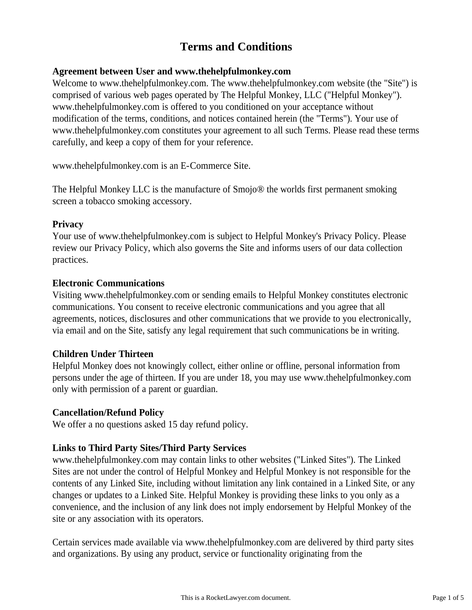# **Terms and Conditions**

#### **Agreement between User and www.thehelpfulmonkey.com**

Welcome to www.thehelpfulmonkey.com. The www.thehelpfulmonkey.com website (the "Site") is comprised of various web pages operated by The Helpful Monkey, LLC ("Helpful Monkey"). www.thehelpfulmonkey.com is offered to you conditioned on your acceptance without modification of the terms, conditions, and notices contained herein (the "Terms"). Your use of www.thehelpfulmonkey.com constitutes your agreement to all such Terms. Please read these terms carefully, and keep a copy of them for your reference.

www.thehelpfulmonkey.com is an E-Commerce Site.

The Helpful Monkey LLC is the manufacture of Smojo® the worlds first permanent smoking screen a tobacco smoking accessory.

#### **Privacy**

Your use of www.thehelpfulmonkey.com is subject to Helpful Monkey's Privacy Policy. Please review our Privacy Policy, which also governs the Site and informs users of our data collection practices.

#### **Electronic Communications**

Visiting www.thehelpfulmonkey.com or sending emails to Helpful Monkey constitutes electronic communications. You consent to receive electronic communications and you agree that all agreements, notices, disclosures and other communications that we provide to you electronically, via email and on the Site, satisfy any legal requirement that such communications be in writing.

## **Children Under Thirteen**

Helpful Monkey does not knowingly collect, either online or offline, personal information from persons under the age of thirteen. If you are under 18, you may use www.thehelpfulmonkey.com only with permission of a parent or guardian.

## **Cancellation/Refund Policy**

We offer a no questions asked 15 day refund policy.

## **Links to Third Party Sites/Third Party Services**

www.thehelpfulmonkey.com may contain links to other websites ("Linked Sites"). The Linked Sites are not under the control of Helpful Monkey and Helpful Monkey is not responsible for the contents of any Linked Site, including without limitation any link contained in a Linked Site, or any changes or updates to a Linked Site. Helpful Monkey is providing these links to you only as a convenience, and the inclusion of any link does not imply endorsement by Helpful Monkey of the site or any association with its operators.

Certain services made available via www.thehelpfulmonkey.com are delivered by third party sites and organizations. By using any product, service or functionality originating from the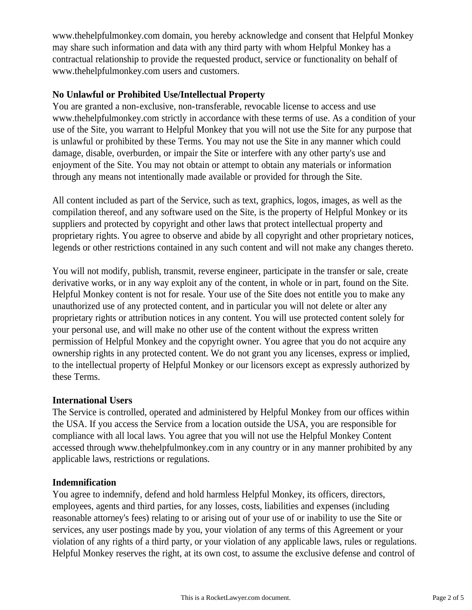www.thehelpfulmonkey.com domain, you hereby acknowledge and consent that Helpful Monkey may share such information and data with any third party with whom Helpful Monkey has a contractual relationship to provide the requested product, service or functionality on behalf of www.thehelpfulmonkey.com users and customers.

## **No Unlawful or Prohibited Use/Intellectual Property**

You are granted a non-exclusive, non-transferable, revocable license to access and use www.thehelpfulmonkey.com strictly in accordance with these terms of use. As a condition of your use of the Site, you warrant to Helpful Monkey that you will not use the Site for any purpose that is unlawful or prohibited by these Terms. You may not use the Site in any manner which could damage, disable, overburden, or impair the Site or interfere with any other party's use and enjoyment of the Site. You may not obtain or attempt to obtain any materials or information through any means not intentionally made available or provided for through the Site.

All content included as part of the Service, such as text, graphics, logos, images, as well as the compilation thereof, and any software used on the Site, is the property of Helpful Monkey or its suppliers and protected by copyright and other laws that protect intellectual property and proprietary rights. You agree to observe and abide by all copyright and other proprietary notices, legends or other restrictions contained in any such content and will not make any changes thereto.

You will not modify, publish, transmit, reverse engineer, participate in the transfer or sale, create derivative works, or in any way exploit any of the content, in whole or in part, found on the Site. Helpful Monkey content is not for resale. Your use of the Site does not entitle you to make any unauthorized use of any protected content, and in particular you will not delete or alter any proprietary rights or attribution notices in any content. You will use protected content solely for your personal use, and will make no other use of the content without the express written permission of Helpful Monkey and the copyright owner. You agree that you do not acquire any ownership rights in any protected content. We do not grant you any licenses, express or implied, to the intellectual property of Helpful Monkey or our licensors except as expressly authorized by these Terms.

## **International Users**

The Service is controlled, operated and administered by Helpful Monkey from our offices within the USA. If you access the Service from a location outside the USA, you are responsible for compliance with all local laws. You agree that you will not use the Helpful Monkey Content accessed through www.thehelpfulmonkey.com in any country or in any manner prohibited by any applicable laws, restrictions or regulations.

## **Indemnification**

You agree to indemnify, defend and hold harmless Helpful Monkey, its officers, directors, employees, agents and third parties, for any losses, costs, liabilities and expenses (including reasonable attorney's fees) relating to or arising out of your use of or inability to use the Site or services, any user postings made by you, your violation of any terms of this Agreement or your violation of any rights of a third party, or your violation of any applicable laws, rules or regulations. Helpful Monkey reserves the right, at its own cost, to assume the exclusive defense and control of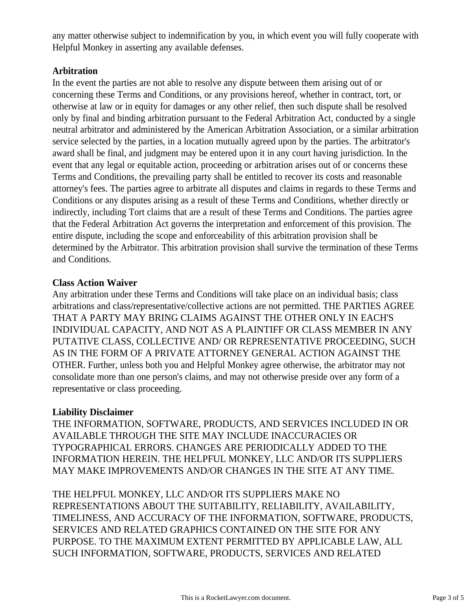any matter otherwise subject to indemnification by you, in which event you will fully cooperate with Helpful Monkey in asserting any available defenses.

#### **Arbitration**

In the event the parties are not able to resolve any dispute between them arising out of or concerning these Terms and Conditions, or any provisions hereof, whether in contract, tort, or otherwise at law or in equity for damages or any other relief, then such dispute shall be resolved only by final and binding arbitration pursuant to the Federal Arbitration Act, conducted by a single neutral arbitrator and administered by the American Arbitration Association, or a similar arbitration service selected by the parties, in a location mutually agreed upon by the parties. The arbitrator's award shall be final, and judgment may be entered upon it in any court having jurisdiction. In the event that any legal or equitable action, proceeding or arbitration arises out of or concerns these Terms and Conditions, the prevailing party shall be entitled to recover its costs and reasonable attorney's fees. The parties agree to arbitrate all disputes and claims in regards to these Terms and Conditions or any disputes arising as a result of these Terms and Conditions, whether directly or indirectly, including Tort claims that are a result of these Terms and Conditions. The parties agree that the Federal Arbitration Act governs the interpretation and enforcement of this provision. The entire dispute, including the scope and enforceability of this arbitration provision shall be determined by the Arbitrator. This arbitration provision shall survive the termination of these Terms and Conditions.

## **Class Action Waiver**

Any arbitration under these Terms and Conditions will take place on an individual basis; class arbitrations and class/representative/collective actions are not permitted. THE PARTIES AGREE THAT A PARTY MAY BRING CLAIMS AGAINST THE OTHER ONLY IN EACH'S INDIVIDUAL CAPACITY, AND NOT AS A PLAINTIFF OR CLASS MEMBER IN ANY PUTATIVE CLASS, COLLECTIVE AND/ OR REPRESENTATIVE PROCEEDING, SUCH AS IN THE FORM OF A PRIVATE ATTORNEY GENERAL ACTION AGAINST THE OTHER. Further, unless both you and Helpful Monkey agree otherwise, the arbitrator may not consolidate more than one person's claims, and may not otherwise preside over any form of a representative or class proceeding.

## **Liability Disclaimer**

THE INFORMATION, SOFTWARE, PRODUCTS, AND SERVICES INCLUDED IN OR AVAILABLE THROUGH THE SITE MAY INCLUDE INACCURACIES OR TYPOGRAPHICAL ERRORS. CHANGES ARE PERIODICALLY ADDED TO THE INFORMATION HEREIN. THE HELPFUL MONKEY, LLC AND/OR ITS SUPPLIERS MAY MAKE IMPROVEMENTS AND/OR CHANGES IN THE SITE AT ANY TIME.

THE HELPFUL MONKEY, LLC AND/OR ITS SUPPLIERS MAKE NO REPRESENTATIONS ABOUT THE SUITABILITY, RELIABILITY, AVAILABILITY, TIMELINESS, AND ACCURACY OF THE INFORMATION, SOFTWARE, PRODUCTS, SERVICES AND RELATED GRAPHICS CONTAINED ON THE SITE FOR ANY PURPOSE. TO THE MAXIMUM EXTENT PERMITTED BY APPLICABLE LAW, ALL SUCH INFORMATION, SOFTWARE, PRODUCTS, SERVICES AND RELATED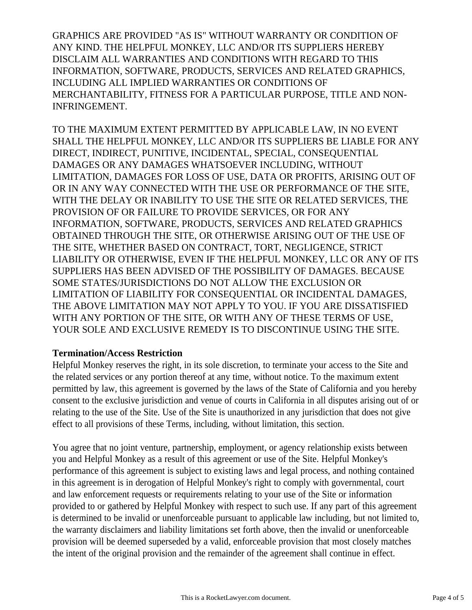GRAPHICS ARE PROVIDED "AS IS" WITHOUT WARRANTY OR CONDITION OF ANY KIND. THE HELPFUL MONKEY, LLC AND/OR ITS SUPPLIERS HEREBY DISCLAIM ALL WARRANTIES AND CONDITIONS WITH REGARD TO THIS INFORMATION, SOFTWARE, PRODUCTS, SERVICES AND RELATED GRAPHICS, INCLUDING ALL IMPLIED WARRANTIES OR CONDITIONS OF MERCHANTABILITY, FITNESS FOR A PARTICULAR PURPOSE, TITLE AND NON-INFRINGEMENT.

TO THE MAXIMUM EXTENT PERMITTED BY APPLICABLE LAW, IN NO EVENT SHALL THE HELPFUL MONKEY, LLC AND/OR ITS SUPPLIERS BE LIABLE FOR ANY DIRECT, INDIRECT, PUNITIVE, INCIDENTAL, SPECIAL, CONSEQUENTIAL DAMAGES OR ANY DAMAGES WHATSOEVER INCLUDING, WITHOUT LIMITATION, DAMAGES FOR LOSS OF USE, DATA OR PROFITS, ARISING OUT OF OR IN ANY WAY CONNECTED WITH THE USE OR PERFORMANCE OF THE SITE, WITH THE DELAY OR INABILITY TO USE THE SITE OR RELATED SERVICES, THE PROVISION OF OR FAILURE TO PROVIDE SERVICES, OR FOR ANY INFORMATION, SOFTWARE, PRODUCTS, SERVICES AND RELATED GRAPHICS OBTAINED THROUGH THE SITE, OR OTHERWISE ARISING OUT OF THE USE OF THE SITE, WHETHER BASED ON CONTRACT, TORT, NEGLIGENCE, STRICT LIABILITY OR OTHERWISE, EVEN IF THE HELPFUL MONKEY, LLC OR ANY OF ITS SUPPLIERS HAS BEEN ADVISED OF THE POSSIBILITY OF DAMAGES. BECAUSE SOME STATES/JURISDICTIONS DO NOT ALLOW THE EXCLUSION OR LIMITATION OF LIABILITY FOR CONSEQUENTIAL OR INCIDENTAL DAMAGES, THE ABOVE LIMITATION MAY NOT APPLY TO YOU. IF YOU ARE DISSATISFIED WITH ANY PORTION OF THE SITE, OR WITH ANY OF THESE TERMS OF USE, YOUR SOLE AND EXCLUSIVE REMEDY IS TO DISCONTINUE USING THE SITE.

#### **Termination/Access Restriction**

Helpful Monkey reserves the right, in its sole discretion, to terminate your access to the Site and the related services or any portion thereof at any time, without notice. To the maximum extent permitted by law, this agreement is governed by the laws of the State of California and you hereby consent to the exclusive jurisdiction and venue of courts in California in all disputes arising out of or relating to the use of the Site. Use of the Site is unauthorized in any jurisdiction that does not give effect to all provisions of these Terms, including, without limitation, this section.

You agree that no joint venture, partnership, employment, or agency relationship exists between you and Helpful Monkey as a result of this agreement or use of the Site. Helpful Monkey's performance of this agreement is subject to existing laws and legal process, and nothing contained in this agreement is in derogation of Helpful Monkey's right to comply with governmental, court and law enforcement requests or requirements relating to your use of the Site or information provided to or gathered by Helpful Monkey with respect to such use. If any part of this agreement is determined to be invalid or unenforceable pursuant to applicable law including, but not limited to, the warranty disclaimers and liability limitations set forth above, then the invalid or unenforceable provision will be deemed superseded by a valid, enforceable provision that most closely matches the intent of the original provision and the remainder of the agreement shall continue in effect.